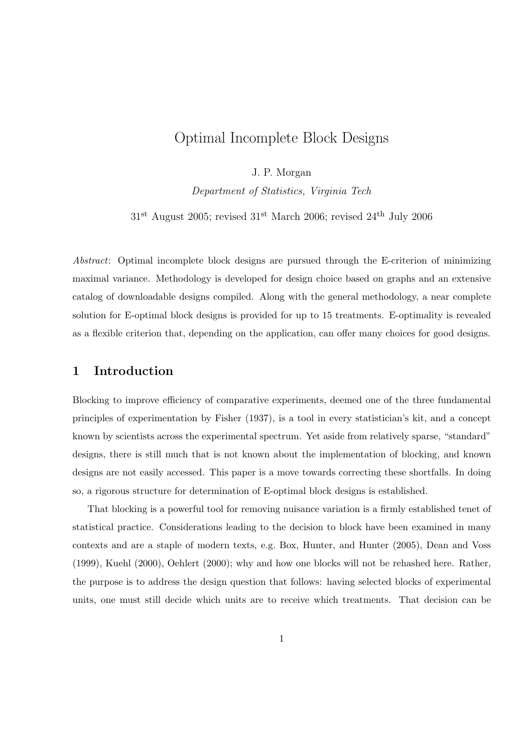# Optimal Incomplete Block Designs

J. P. Morgan

Department of Statistics, Virginia Tech

31st August 2005; revised 31st March 2006; revised 24th July 2006

Abstract: Optimal incomplete block designs are pursued through the E-criterion of minimizing maximal variance. Methodology is developed for design choice based on graphs and an extensive catalog of downloadable designs compiled. Along with the general methodology, a near complete solution for E-optimal block designs is provided for up to 15 treatments. E-optimality is revealed as a flexible criterion that, depending on the application, can offer many choices for good designs.

### 1 Introduction

Blocking to improve efficiency of comparative experiments, deemed one of the three fundamental principles of experimentation by Fisher (1937), is a tool in every statistician's kit, and a concept known by scientists across the experimental spectrum. Yet aside from relatively sparse, "standard" designs, there is still much that is not known about the implementation of blocking, and known designs are not easily accessed. This paper is a move towards correcting these shortfalls. In doing so, a rigorous structure for determination of E-optimal block designs is established.

That blocking is a powerful tool for removing nuisance variation is a firmly established tenet of statistical practice. Considerations leading to the decision to block have been examined in many contexts and are a staple of modern texts, e.g. Box, Hunter, and Hunter (2005), Dean and Voss (1999), Kuehl (2000), Oehlert (2000); why and how one blocks will not be rehashed here. Rather, the purpose is to address the design question that follows: having selected blocks of experimental units, one must still decide which units are to receive which treatments. That decision can be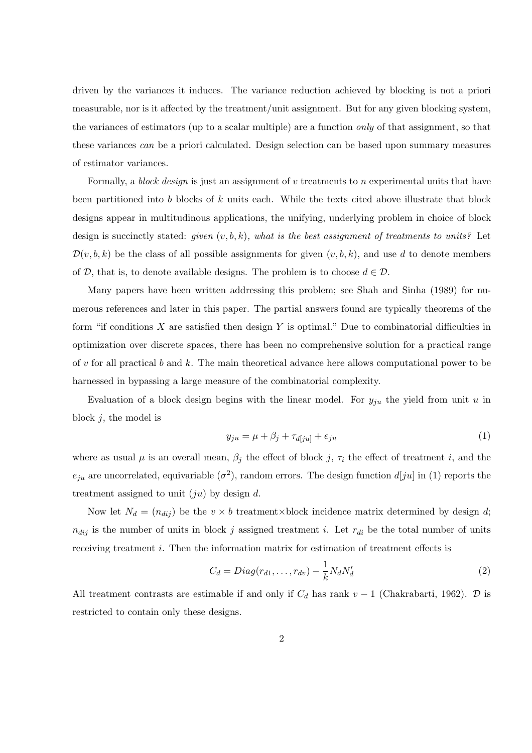driven by the variances it induces. The variance reduction achieved by blocking is not a priori measurable, nor is it affected by the treatment/unit assignment. But for any given blocking system, the variances of estimators (up to a scalar multiple) are a function only of that assignment, so that these variances can be a priori calculated. Design selection can be based upon summary measures of estimator variances.

Formally, a block design is just an assignment of  $v$  treatments to n experimental units that have been partitioned into b blocks of k units each. While the texts cited above illustrate that block designs appear in multitudinous applications, the unifying, underlying problem in choice of block design is succinctly stated: given  $(v, b, k)$ , what is the best assignment of treatments to units? Let  $\mathcal{D}(v, b, k)$  be the class of all possible assignments for given  $(v, b, k)$ , and use d to denote members of D, that is, to denote available designs. The problem is to choose  $d \in \mathcal{D}$ .

Many papers have been written addressing this problem; see Shah and Sinha (1989) for numerous references and later in this paper. The partial answers found are typically theorems of the form "if conditions  $X$  are satisfied then design  $Y$  is optimal." Due to combinatorial difficulties in optimization over discrete spaces, there has been no comprehensive solution for a practical range of v for all practical b and k. The main theoretical advance here allows computational power to be harnessed in bypassing a large measure of the combinatorial complexity.

Evaluation of a block design begins with the linear model. For  $y_{ju}$  the yield from unit u in block  $j$ , the model is

$$
y_{ju} = \mu + \beta_j + \tau_{d[ju]} + e_{ju} \tag{1}
$$

where as usual  $\mu$  is an overall mean,  $\beta_j$  the effect of block j,  $\tau_i$  the effect of treatment i, and the  $e_{ju}$  are uncorrelated, equivariable  $(\sigma^2)$ , random errors. The design function  $d[ju]$  in (1) reports the treatment assigned to unit  $(ju)$  by design d.

Now let  $N_d = (n_{dij})$  be the  $v \times b$  treatment×block incidence matrix determined by design d;  $n_{dij}$  is the number of units in block j assigned treatment i. Let  $r_{di}$  be the total number of units receiving treatment *i*. Then the information matrix for estimation of treatment effects is

$$
C_d = Diag(r_{d1}, \dots, r_{dv}) - \frac{1}{k} N_d N'_d \tag{2}
$$

All treatment contrasts are estimable if and only if  $C_d$  has rank  $v-1$  (Chakrabarti, 1962).  $D$  is restricted to contain only these designs.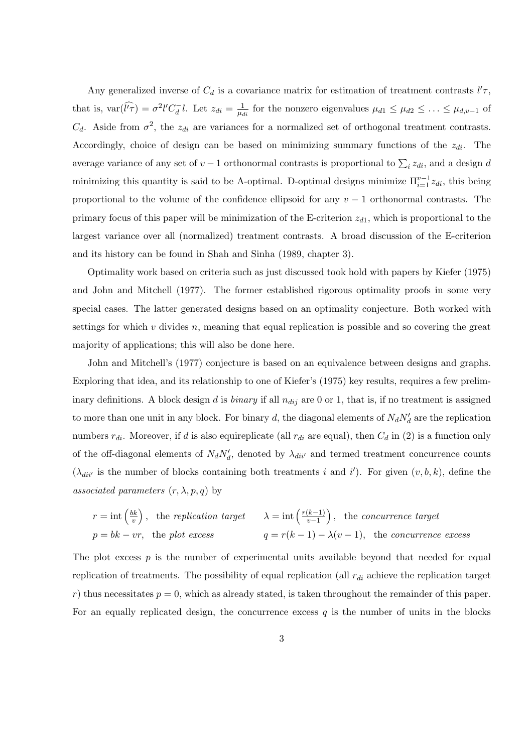Any generalized inverse of  $C_d$  is a covariance matrix for estimation of treatment contrasts  $l' \tau$ , that is,  $var(\widehat{l'}\widehat{\tau}) = \sigma^2 l' C_d^{-} l$ . Let  $z_{di} = \frac{1}{\mu_d}$  $\frac{1}{\mu_{di}}$  for the nonzero eigenvalues  $\mu_{d1} \leq \mu_{d2} \leq \ldots \leq \mu_{d,v-1}$  of  $C_d$ . Aside from  $\sigma^2$ , the  $z_{di}$  are variances for a normalized set of orthogonal treatment contrasts. Accordingly, choice of design can be based on minimizing summary functions of the  $z_{di}$ . The average variance of any set of  $v-1$  orthonormal contrasts is proportional to  $\sum_i z_{di}$ , and a design d minimizing this quantity is said to be A-optimal. D-optimal designs minimize  $\Pi_{i=1}^{v-1} z_{di}$ , this being proportional to the volume of the confidence ellipsoid for any  $v - 1$  orthonormal contrasts. The primary focus of this paper will be minimization of the E-criterion  $z_{d1}$ , which is proportional to the largest variance over all (normalized) treatment contrasts. A broad discussion of the E-criterion and its history can be found in Shah and Sinha (1989, chapter 3).

Optimality work based on criteria such as just discussed took hold with papers by Kiefer (1975) and John and Mitchell (1977). The former established rigorous optimality proofs in some very special cases. The latter generated designs based on an optimality conjecture. Both worked with settings for which  $v$  divides  $n$ , meaning that equal replication is possible and so covering the great majority of applications; this will also be done here.

John and Mitchell's (1977) conjecture is based on an equivalence between designs and graphs. Exploring that idea, and its relationship to one of Kiefer's (1975) key results, requires a few preliminary definitions. A block design d is binary if all  $n_{dij}$  are 0 or 1, that is, if no treatment is assigned to more than one unit in any block. For binary d, the diagonal elements of  $N_dN_d$  are the replication numbers  $r_{di}$ . Moreover, if d is also equireplicate (all  $r_{di}$  are equal), then  $C_d$  in (2) is a function only of the off-diagonal elements of  $N_d N'_d$ , denoted by  $\lambda_{dii'}$  and termed treatment concurrence counts  $(\lambda_{dii'}$  is the number of blocks containing both treatments i and i'). For given  $(v, b, k)$ , define the associated parameters  $(r, \lambda, p, q)$  by

$$
r = \text{int}\left(\frac{bk}{v}\right)
$$
, the replication target  $\lambda = \text{int}\left(\frac{r(k-1)}{v-1}\right)$ , the concurrence target  
\n $p = bk - vr$ , the plot excess  $q = r(k-1) - \lambda(v-1)$ , the concurrence excess

The plot excess  $p$  is the number of experimental units available beyond that needed for equal replication of treatments. The possibility of equal replication (all  $r_{di}$  achieve the replication target r) thus necessitates  $p = 0$ , which as already stated, is taken throughout the remainder of this paper. For an equally replicated design, the concurrence excess q is the number of units in the blocks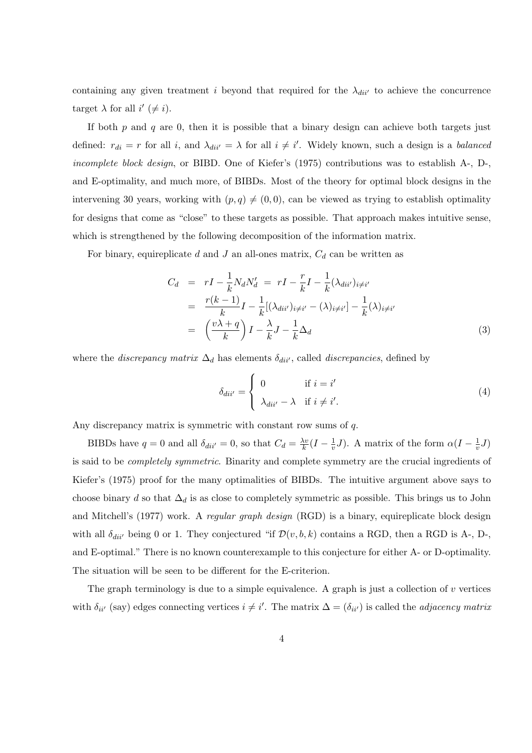containing any given treatment i beyond that required for the  $\lambda_{dii'}$  to achieve the concurrence target  $\lambda$  for all  $i' \neq i$ .

If both  $p$  and  $q$  are 0, then it is possible that a binary design can achieve both targets just defined:  $r_{di} = r$  for all i, and  $\lambda_{di i'} = \lambda$  for all  $i \neq i'$ . Widely known, such a design is a *balanced* incomplete block design, or BIBD. One of Kiefer's (1975) contributions was to establish A-, D-, and E-optimality, and much more, of BIBDs. Most of the theory for optimal block designs in the intervening 30 years, working with  $(p, q) \neq (0, 0)$ , can be viewed as trying to establish optimality for designs that come as "close" to these targets as possible. That approach makes intuitive sense, which is strengthened by the following decomposition of the information matrix.

For binary, equireplicate d and J an all-ones matrix,  $C_d$  can be written as

$$
C_d = rI - \frac{1}{k} N_d N'_d = rI - \frac{r}{k} I - \frac{1}{k} (\lambda_{dii'})_{i \neq i'}
$$
  

$$
= \frac{r(k-1)}{k} I - \frac{1}{k} [(\lambda_{dii'})_{i \neq i'} - (\lambda)_{i \neq i'}] - \frac{1}{k} (\lambda)_{i \neq i'}
$$
  

$$
= \left(\frac{v\lambda + q}{k}\right) I - \frac{\lambda}{k} J - \frac{1}{k} \Delta_d
$$
 (3)

where the *discrepancy matrix*  $\Delta_d$  has elements  $\delta_{div}$ , called *discrepancies*, defined by  $\overline{a}$ 

$$
\delta_{dii'} = \begin{cases}\n0 & \text{if } i = i' \\
\lambda_{dii'} - \lambda & \text{if } i \neq i'.\n\end{cases}
$$
\n(4)

Any discrepancy matrix is symmetric with constant row sums of q.

BIBDs have  $q = 0$  and all  $\delta_{dii'} = 0$ , so that  $C_d = \frac{\lambda v}{k}$  $\frac{\lambda v}{k} (I - \frac{1}{v})$  $\frac{1}{v}J$ ). A matrix of the form  $\alpha(I-\frac{1}{v})$  $\frac{1}{v}J)$ is said to be completely symmetric. Binarity and complete symmetry are the crucial ingredients of Kiefer's (1975) proof for the many optimalities of BIBDs. The intuitive argument above says to choose binary d so that  $\Delta_d$  is as close to completely symmetric as possible. This brings us to John and Mitchell's (1977) work. A regular graph design (RGD) is a binary, equireplicate block design with all  $\delta_{dii'}$  being 0 or 1. They conjectured "if  $\mathcal{D}(v, b, k)$  contains a RGD, then a RGD is A-, D-, and E-optimal." There is no known counterexample to this conjecture for either A- or D-optimality. The situation will be seen to be different for the E-criterion.

The graph terminology is due to a simple equivalence. A graph is just a collection of  $v$  vertices with  $\delta_{ii'}$  (say) edges connecting vertices  $i \neq i'$ . The matrix  $\Delta = (\delta_{ii'})$  is called the *adjacency matrix*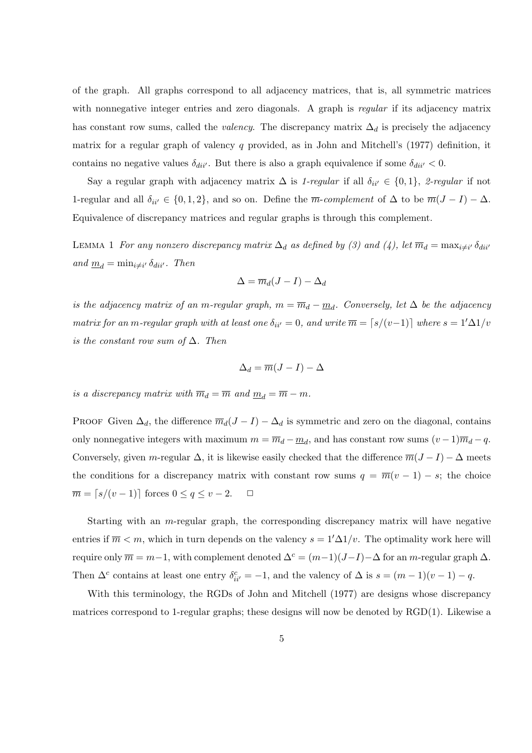of the graph. All graphs correspond to all adjacency matrices, that is, all symmetric matrices with nonnegative integer entries and zero diagonals. A graph is regular if its adjacency matrix has constant row sums, called the *valency*. The discrepancy matrix  $\Delta_d$  is precisely the adjacency matrix for a regular graph of valency q provided, as in John and Mitchell's (1977) definition, it contains no negative values  $\delta_{di i'}$ . But there is also a graph equivalence if some  $\delta_{di i'}$  < 0.

Say a regular graph with adjacency matrix  $\Delta$  is 1-regular if all  $\delta_{ii'} \in \{0, 1\}$ , 2-regular if not 1-regular and all  $\delta_{ii'} \in \{0, 1, 2\}$ , and so on. Define the  $\overline{m}$ -complement of  $\Delta$  to be  $\overline{m}(J - I) - \Delta$ . Equivalence of discrepancy matrices and regular graphs is through this complement.

LEMMA 1 For any nonzero discrepancy matrix  $\Delta_d$  as defined by (3) and (4), let  $\overline{m}_d = \max_{i \neq i'} \delta_{div}$ and  $\underline{m}_d = \min_{i \neq i'} \delta_{dii'}$ . Then

$$
\Delta = \overline{m}_d(J-I) - \Delta_d
$$

is the adjacency matrix of an m-regular graph,  $m = \overline{m}_d - \underline{m}_d$ . Conversely, let  $\Delta$  be the adjacency matrix for an m-regular graph with at least one  $\delta_{ii'}=0$ , and write  $\overline{m} = \lceil s/(v-1) \rceil$  where  $s = 1/\Delta 1/v$ is the constant row sum of  $\Delta$ . Then

$$
\Delta_d = \overline{m}(J - I) - \Delta
$$

is a discrepancy matrix with  $\overline{m}_d = \overline{m}$  and  $\underline{m}_d = \overline{m} - m$ .

PROOF Given  $\Delta_d$ , the difference  $\overline{m}_d(J - I) - \Delta_d$  is symmetric and zero on the diagonal, contains only nonnegative integers with maximum  $m = \overline{m}_d - \underline{m}_d$ , and has constant row sums  $(v-1)\overline{m}_d - q$ . Conversely, given m-regular  $\Delta$ , it is likewise easily checked that the difference  $\overline{m}(J-I) - \Delta$  meets the conditions for a discrepancy matrix with constant row sums  $q = \overline{m}(v - 1) - s$ ; the choice  $\overline{m} = \lceil s/(v - 1) \rceil$  forces  $0 \le q \le v - 2$ .  $\Box$ 

Starting with an m-regular graph, the corresponding discrepancy matrix will have negative entries if  $\overline{m} < m$ , which in turn depends on the valency  $s = 1/\Delta 1/v$ . The optimality work here will require only  $\overline{m} = m-1$ , with complement denoted  $\Delta^c = (m-1)(J-I) - \Delta$  for an m-regular graph  $\Delta$ . Then  $\Delta^c$  contains at least one entry  $\delta^c_{ii'} = -1$ , and the valency of  $\Delta$  is  $s = (m-1)(v-1) - q$ .

With this terminology, the RGDs of John and Mitchell (1977) are designs whose discrepancy matrices correspond to 1-regular graphs; these designs will now be denoted by RGD(1). Likewise a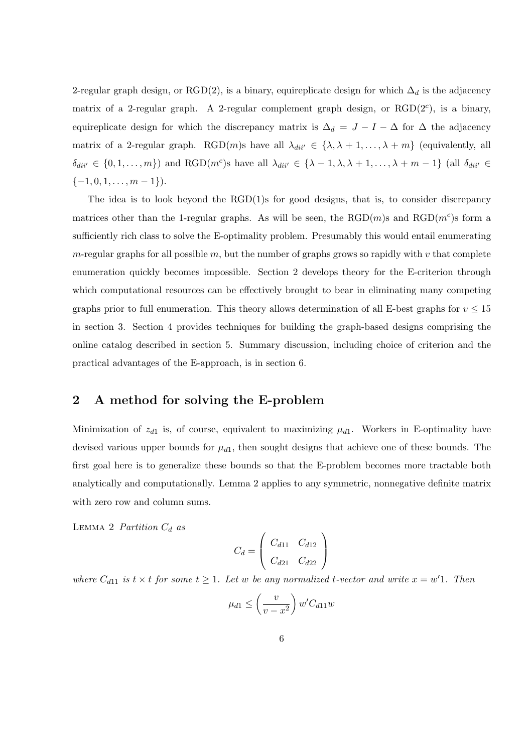2-regular graph design, or RGD(2), is a binary, equireplicate design for which  $\Delta_d$  is the adjacency matrix of a 2-regular graph. A 2-regular complement graph design, or  $RGD(2<sup>c</sup>)$ , is a binary, equireplicate design for which the discrepancy matrix is  $\Delta_d = J - I - \Delta$  for  $\Delta$  the adjacency matrix of a 2-regular graph. RGD(m)s have all  $\lambda_{dii'} \in {\lambda, \lambda + 1, ..., \lambda + m}$  (equivalently, all  $\delta_{dii'} \in \{0, 1, \ldots, m\}$  and RGD $(m^c)$ s have all  $\lambda_{dii'} \in \{\lambda - 1, \lambda, \lambda + 1, \ldots, \lambda + m - 1\}$  (all  $\delta_{dii'} \in$  $\{-1, 0, 1, \ldots, m-1\}.$ 

The idea is to look beyond the RGD(1)s for good designs, that is, to consider discrepancy matrices other than the 1-regular graphs. As will be seen, the  $\text{RGD}(m)$ s and  $\text{RGD}(m^c)$ s form a sufficiently rich class to solve the E-optimality problem. Presumably this would entail enumerating  $m$ -regular graphs for all possible  $m$ , but the number of graphs grows so rapidly with  $v$  that complete enumeration quickly becomes impossible. Section 2 develops theory for the E-criterion through which computational resources can be effectively brought to bear in eliminating many competing graphs prior to full enumeration. This theory allows determination of all E-best graphs for  $v \le 15$ in section 3. Section 4 provides techniques for building the graph-based designs comprising the online catalog described in section 5. Summary discussion, including choice of criterion and the practical advantages of the E-approach, is in section 6.

#### 2 A method for solving the E-problem

Minimization of  $z_{d1}$  is, of course, equivalent to maximizing  $\mu_{d1}$ . Workers in E-optimality have devised various upper bounds for  $\mu_{d1}$ , then sought designs that achieve one of these bounds. The first goal here is to generalize these bounds so that the E-problem becomes more tractable both analytically and computationally. Lemma 2 applies to any symmetric, nonnegative definite matrix with zero row and column sums.

LEMMA 2 Partition  $C_d$  as

$$
C_d = \left(\begin{array}{cc} C_{d11} & C_{d12} \\ C_{d21} & C_{d22} \end{array}\right)
$$

where  $C_{d11}$  is  $t \times t$  for some  $t \geq 1$ . Let w be any normalized t-vector and write  $x = w'1$ . Then

$$
\mu_{d1} \le \left(\frac{v}{v - x^2}\right) w' C_{d11} w
$$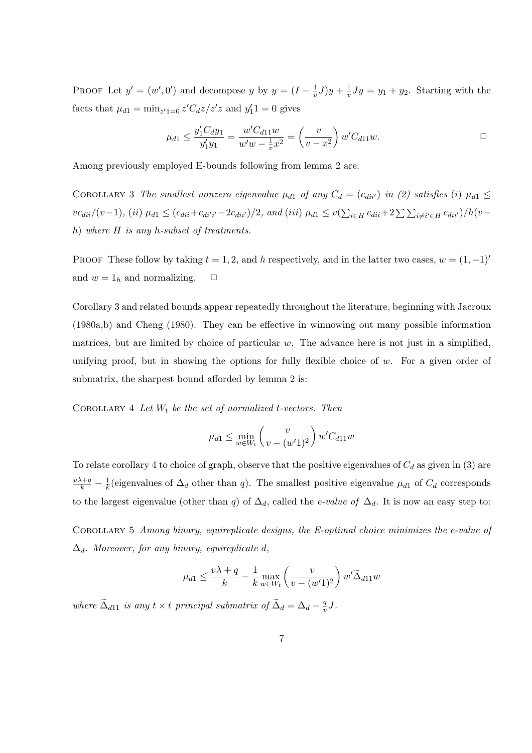PROOF Let  $y' = (w', 0')$  and decompose y by  $y = (I - \frac{1}{v})$  $(\frac{1}{v}J)y + \frac{1}{v}$  $\frac{1}{v}Jy = y_1 + y_2$ . Starting with the facts that  $\mu_{d1} = \min_{z'1=0} z'C_dz/z'z$  and  $y'_11 = 0$  gives

$$
\mu_{d1} \le \frac{y_1' C_d y_1}{y_1' y_1} = \frac{w' C_{d11} w}{w' w - \frac{1}{v} x^2} = \left(\frac{v}{v - x^2}\right) w' C_{d11} w.
$$

Among previously employed E-bounds following from lemma 2 are:

COROLLARY 3 The smallest nonzero eigenvalue  $\mu_{d1}$  of any  $C_d = (c_{div})$  in (2) satisfies (i)  $\mu_{d1} \leq$  $vc_{dii}/(v-1)$ , (ii)  $\mu_{d1} \le (c_{dii} + c_{dii'i'} - 2c_{dii'})/2$ , and (iii)  $\mu_{d1} \le v(\sum_{i \in H} c_{dii} + 2\sum_{i \neq i'} c_{dii'})/h(v-1)$ h) where H is any h-subset of treatments.

PROOF These follow by taking  $t = 1, 2$ , and h respectively, and in the latter two cases,  $w = (1, -1)^t$ and  $w = 1_h$  and normalizing.  $\Box$ 

Corollary 3 and related bounds appear repeatedly throughout the literature, beginning with Jacroux (1980a,b) and Cheng (1980). They can be effective in winnowing out many possible information matrices, but are limited by choice of particular  $w$ . The advance here is not just in a simplified, unifying proof, but in showing the options for fully flexible choice of  $w$ . For a given order of submatrix, the sharpest bound afforded by lemma 2 is:

COROLLARY 4 Let  $W_t$  be the set of normalized t-vectors. Then

$$
\mu_{d1} \le \min_{w \in W_t} \left(\frac{v}{v - (w'1)^2}\right) w' C_{d11} w
$$

To relate corollary 4 to choice of graph, observe that the positive eigenvalues of  $C_d$  as given in (3) are  $\frac{v\lambda+q}{k}-\frac{1}{k}$  $\frac{1}{k}$ (eigenvalues of  $\Delta_d$  other than q). The smallest positive eigenvalue  $\mu_{d1}$  of  $C_d$  corresponds to the largest eigenvalue (other than q) of  $\Delta_d$ , called the *e-value of*  $\Delta_d$ . It is now an easy step to:

Corollary 5 Among binary, equireplicate designs, the E-optimal choice minimizes the e-value of  $\Delta_d$ . Moreover, for any binary, equireplicate d,

$$
\mu_{d1} \le \frac{v\lambda + q}{k} - \frac{1}{k} \max_{w \in W_t} \left( \frac{v}{v - (w'1)^2} \right) w' \tilde{\Delta}_{d11} w
$$

where  $\tilde{\Delta}_{d11}$  is any  $t \times t$  principal submatrix of  $\tilde{\Delta}_d = \Delta_d - \frac{q}{n}$  $\frac{q}{v}J$ .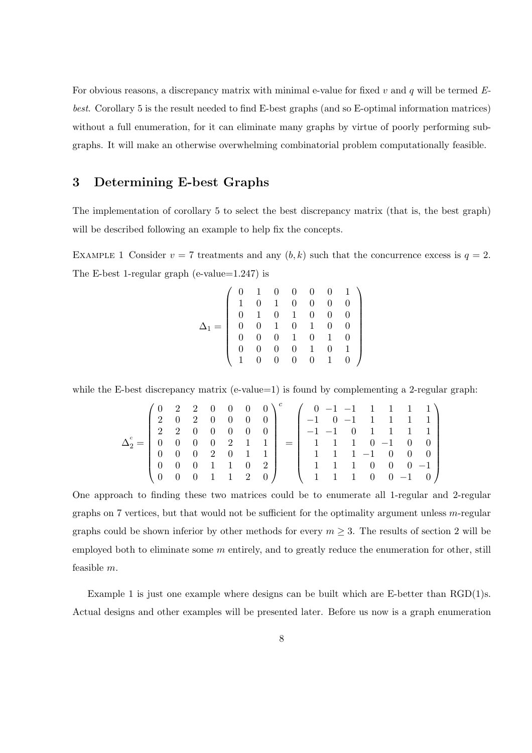For obvious reasons, a discrepancy matrix with minimal e-value for fixed  $v$  and  $q$  will be termed  $E$ best. Corollary 5 is the result needed to find E-best graphs (and so E-optimal information matrices) without a full enumeration, for it can eliminate many graphs by virtue of poorly performing subgraphs. It will make an otherwise overwhelming combinatorial problem computationally feasible.

### 3 Determining E-best Graphs

The implementation of corollary 5 to select the best discrepancy matrix (that is, the best graph) will be described following an example to help fix the concepts.

EXAMPLE 1 Consider  $v = 7$  treatments and any  $(b, k)$  such that the concurrence excess is  $q = 2$ . The E-best 1-regular graph (e-value=1.247) is

$$
\Delta_1=\left(\begin{array}{cccccc} 0 & 1 & 0 & 0 & 0 & 0 & 1 \\ 1 & 0 & 1 & 0 & 0 & 0 & 0 \\ 0 & 1 & 0 & 1 & 0 & 0 & 0 \\ 0 & 0 & 1 & 0 & 1 & 0 & 0 \\ 0 & 0 & 0 & 1 & 0 & 1 & 0 \\ 0 & 0 & 0 & 0 & 1 & 0 & 1 \\ 1 & 0 & 0 & 0 & 0 & 1 & 0 \end{array}\right)
$$

while the E-best discrepancy matrix (e-value=1) is found by complementing a 2-regular graph:

$$
\Delta_2^c = \left(\begin{array}{cccccc} 0 & 2 & 2 & 0 & 0 & 0 & 0 \\ 2 & 0 & 2 & 0 & 0 & 0 & 0 \\ 2 & 2 & 0 & 0 & 0 & 0 & 0 \\ 0 & 0 & 0 & 0 & 2 & 1 & 1 \\ 0 & 0 & 0 & 2 & 0 & 1 & 1 \\ 0 & 0 & 0 & 1 & 1 & 0 & 2 \\ 0 & 0 & 0 & 1 & 1 & 2 & 0 \end{array}\right)^c = \left(\begin{array}{cccccc} 0 & -1 & -1 & 1 & 1 & 1 & 1 \\ -1 & 0 & -1 & 1 & 1 & 1 & 1 \\ -1 & -1 & 0 & 1 & 1 & 1 & 1 \\ 1 & 1 & 1 & 0 & -1 & 0 & 0 \\ 1 & 1 & 1 & 1 & -1 & 0 & 0 & 0 \\ 1 & 1 & 1 & 1 & 0 & 0 & 0 & -1 \\ 1 & 1 & 1 & 0 & 0 & -1 & 0 \end{array}\right)
$$

One approach to finding these two matrices could be to enumerate all 1-regular and 2-regular graphs on 7 vertices, but that would not be sufficient for the optimality argument unless  $m$ -regular graphs could be shown inferior by other methods for every  $m \geq 3$ . The results of section 2 will be employed both to eliminate some  $m$  entirely, and to greatly reduce the enumeration for other, still feasible m.

Example 1 is just one example where designs can be built which are E-better than RGD(1)s. Actual designs and other examples will be presented later. Before us now is a graph enumeration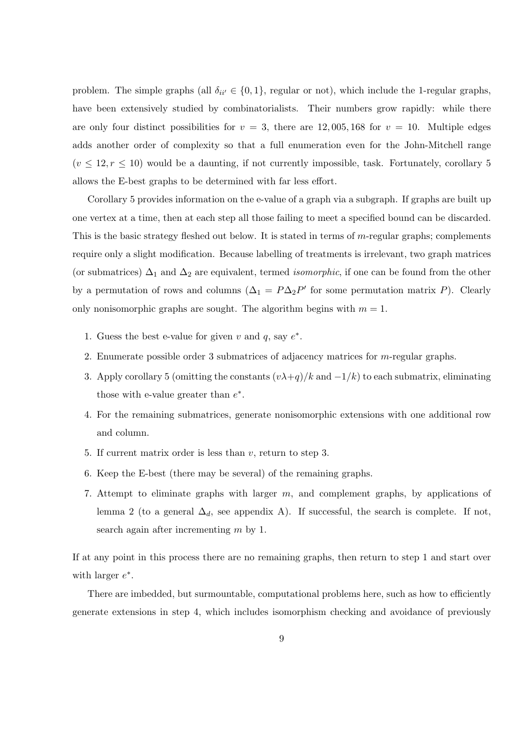problem. The simple graphs (all  $\delta_{ii'} \in \{0, 1\}$ , regular or not), which include the 1-regular graphs, have been extensively studied by combinatorialists. Their numbers grow rapidly: while there are only four distinct possibilities for  $v = 3$ , there are 12,005,168 for  $v = 10$ . Multiple edges adds another order of complexity so that a full enumeration even for the John-Mitchell range  $(v \leq 12, r \leq 10)$  would be a daunting, if not currently impossible, task. Fortunately, corollary 5 allows the E-best graphs to be determined with far less effort.

Corollary 5 provides information on the e-value of a graph via a subgraph. If graphs are built up one vertex at a time, then at each step all those failing to meet a specified bound can be discarded. This is the basic strategy fleshed out below. It is stated in terms of m-regular graphs; complements require only a slight modification. Because labelling of treatments is irrelevant, two graph matrices (or submatrices)  $\Delta_1$  and  $\Delta_2$  are equivalent, termed *isomorphic*, if one can be found from the other by a permutation of rows and columns  $(\Delta_1 = P \Delta_2 P'$  for some permutation matrix P). Clearly only nonisomorphic graphs are sought. The algorithm begins with  $m = 1$ .

- 1. Guess the best e-value for given v and q, say  $e^*$ .
- 2. Enumerate possible order 3 submatrices of adjacency matrices for m-regular graphs.
- 3. Apply corollary 5 (omitting the constants  $(v\lambda + q)/k$  and  $-1/k$ ) to each submatrix, eliminating those with e-value greater than  $e^*$ .
- 4. For the remaining submatrices, generate nonisomorphic extensions with one additional row and column.
- 5. If current matrix order is less than v, return to step 3.
- 6. Keep the E-best (there may be several) of the remaining graphs.
- 7. Attempt to eliminate graphs with larger m, and complement graphs, by applications of lemma 2 (to a general  $\Delta_d$ , see appendix A). If successful, the search is complete. If not, search again after incrementing m by 1.

If at any point in this process there are no remaining graphs, then return to step 1 and start over with larger  $e^*$ .

There are imbedded, but surmountable, computational problems here, such as how to efficiently generate extensions in step 4, which includes isomorphism checking and avoidance of previously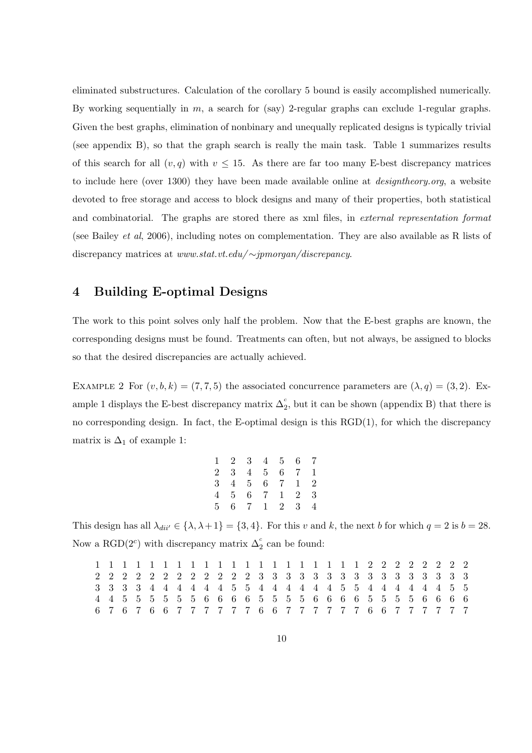eliminated substructures. Calculation of the corollary 5 bound is easily accomplished numerically. By working sequentially in  $m$ , a search for (say) 2-regular graphs can exclude 1-regular graphs. Given the best graphs, elimination of nonbinary and unequally replicated designs is typically trivial (see appendix B), so that the graph search is really the main task. Table 1 summarizes results of this search for all  $(v, q)$  with  $v \le 15$ . As there are far too many E-best discrepancy matrices to include here (over 1300) they have been made available online at designtheory.org, a website devoted to free storage and access to block designs and many of their properties, both statistical and combinatorial. The graphs are stored there as xml files, in external representation format (see Bailey et al, 2006), including notes on complementation. They are also available as R lists of discrepancy matrices at www.stat.vt.edu/ ∼jpmorgan/discrepancy.

### 4 Building E-optimal Designs

The work to this point solves only half the problem. Now that the E-best graphs are known, the corresponding designs must be found. Treatments can often, but not always, be assigned to blocks so that the desired discrepancies are actually achieved.

EXAMPLE 2 For  $(v, b, k) = (7, 7, 5)$  the associated concurrence parameters are  $(\lambda, q) = (3, 2)$ . Example 1 displays the E-best discrepancy matrix  $\Delta_2^c$ , but it can be shown (appendix B) that there is no corresponding design. In fact, the E-optimal design is this  $RGD(1)$ , for which the discrepancy matrix is  $\Delta_1$  of example 1:

| $1 \t2 \t3 \t4 \t5 \t6 \t7$ |  |  |  |
|-----------------------------|--|--|--|
| 2 3 4 5 6 7 1               |  |  |  |
| 3 4 5 6 7 1 2               |  |  |  |
| 4 5 6 7 1 2 3               |  |  |  |
| 5 6 7 1 2 3 4               |  |  |  |

This design has all  $\lambda_{dii'} \in \{\lambda, \lambda+1\} = \{3, 4\}.$  For this v and k, the next b for which  $q = 2$  is  $b = 28$ . Now a RGD( $2^c$ ) with discrepancy matrix  $\Delta_2^c$  can be found:

|  |  |  |  |  |  |  | 6767667777776677777766777777 |  |  |  |  |  |  |  |
|--|--|--|--|--|--|--|------------------------------|--|--|--|--|--|--|--|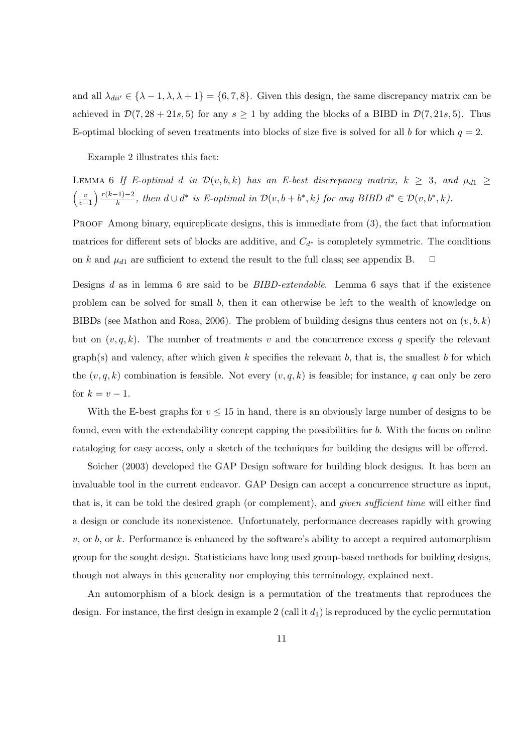and all  $\lambda_{dii'} \in {\lambda - 1, \lambda, \lambda + 1} = {6, 7, 8}$ . Given this design, the same discrepancy matrix can be achieved in  $\mathcal{D}(7, 28 + 21s, 5)$  for any  $s \ge 1$  by adding the blocks of a BIBD in  $\mathcal{D}(7, 21s, 5)$ . Thus E-optimal blocking of seven treatments into blocks of size five is solved for all b for which  $q = 2$ .

Example 2 illustrates this fact:

LEMMA 6 If E-optimal d in  $\mathcal{D}(v, b, k)$  has an E-best discrepancy matrix,  $k \geq 3$ , and  $\mu_{d1} \geq$  $\int v$  $\overline{v-1}$  $\binom{r(k-1)-2}{r(k-1)}$  $\frac{(-1)-2}{k}$ , then  $d \cup d^*$  is E-optimal in  $\mathcal{D}(v, b+b^*, k)$  for any BIBD  $d^* \in \mathcal{D}(v, b^*, k)$ .

PROOF Among binary, equireplicate designs, this is immediate from (3), the fact that information matrices for different sets of blocks are additive, and  $C_{d^*}$  is completely symmetric. The conditions on k and  $\mu_{d1}$  are sufficient to extend the result to the full class; see appendix B.  $\Box$ 

Designs  $d$  as in lemma 6 are said to be  $BIBD-extendable$ . Lemma 6 says that if the existence problem can be solved for small b, then it can otherwise be left to the wealth of knowledge on BIBDs (see Mathon and Rosa, 2006). The problem of building designs thus centers not on  $(v, b, k)$ but on  $(v, q, k)$ . The number of treatments v and the concurrence excess q specify the relevant  $graph(s)$  and valency, after which given k specifies the relevant b, that is, the smallest b for which the  $(v, q, k)$  combination is feasible. Not every  $(v, q, k)$  is feasible; for instance, q can only be zero for  $k = v - 1$ .

With the E-best graphs for  $v \leq 15$  in hand, there is an obviously large number of designs to be found, even with the extendability concept capping the possibilities for b. With the focus on online cataloging for easy access, only a sketch of the techniques for building the designs will be offered.

Soicher (2003) developed the GAP Design software for building block designs. It has been an invaluable tool in the current endeavor. GAP Design can accept a concurrence structure as input, that is, it can be told the desired graph (or complement), and given sufficient time will either find a design or conclude its nonexistence. Unfortunately, performance decreases rapidly with growing  $v$ , or  $b$ , or  $k$ . Performance is enhanced by the software's ability to accept a required automorphism group for the sought design. Statisticians have long used group-based methods for building designs, though not always in this generality nor employing this terminology, explained next.

An automorphism of a block design is a permutation of the treatments that reproduces the design. For instance, the first design in example 2 (call it  $d_1$ ) is reproduced by the cyclic permutation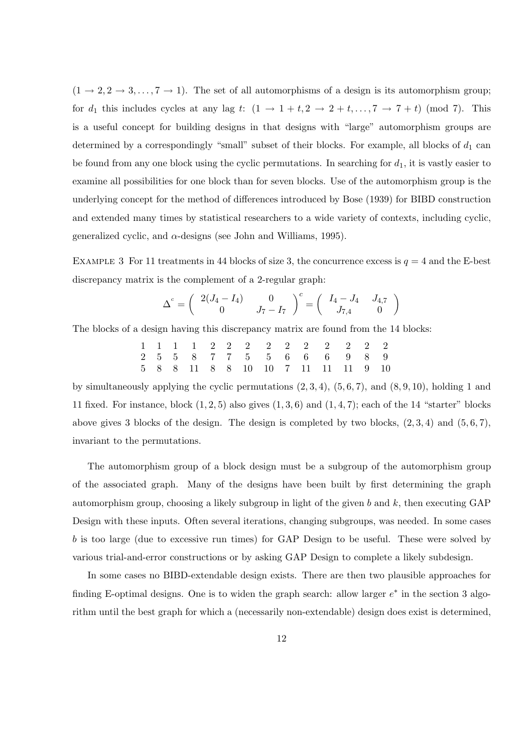$(1 \rightarrow 2, 2 \rightarrow 3, \ldots, 7 \rightarrow 1)$ . The set of all automorphisms of a design is its automorphism group; for  $d_1$  this includes cycles at any lag t:  $(1 \rightarrow 1+t, 2 \rightarrow 2+t, ..., 7 \rightarrow 7+t)$  (mod 7). This is a useful concept for building designs in that designs with "large" automorphism groups are determined by a correspondingly "small" subset of their blocks. For example, all blocks of  $d_1$  can be found from any one block using the cyclic permutations. In searching for  $d_1$ , it is vastly easier to examine all possibilities for one block than for seven blocks. Use of the automorphism group is the underlying concept for the method of differences introduced by Bose (1939) for BIBD construction and extended many times by statistical researchers to a wide variety of contexts, including cyclic, generalized cyclic, and  $\alpha$ -designs (see John and Williams, 1995).

EXAMPLE 3 For 11 treatments in 44 blocks of size 3, the concurrence excess is  $q = 4$  and the E-best discrepancy matrix is the complement of a 2-regular graph:

$$
\Delta^{c} = \begin{pmatrix} 2(J_4 - I_4) & 0 \\ 0 & J_7 - I_7 \end{pmatrix}^{c} = \begin{pmatrix} I_4 - J_4 & J_{4,7} \\ J_{7,4} & 0 \end{pmatrix}
$$

The blocks of a design having this discrepancy matrix are found from the 14 blocks:

$$
\begin{array}{cccccccccccccccc} 1 & 1 & 1 & 1 & 2 & 2 & 2 & 2 & 2 & 2 & 2 & 2 & 2 & 2 \\ 2 & 5 & 5 & 8 & 7 & 7 & 5 & 5 & 6 & 6 & 6 & 9 & 8 & 9 \\ 5 & 8 & 8 & 11 & 8 & 8 & 10 & 10 & 7 & 11 & 11 & 11 & 9 & 10 \end{array}
$$

by simultaneously applying the cyclic permutations  $(2, 3, 4)$ ,  $(5, 6, 7)$ , and  $(8, 9, 10)$ , holding 1 and 11 fixed. For instance, block  $(1, 2, 5)$  also gives  $(1, 3, 6)$  and  $(1, 4, 7)$ ; each of the 14 "starter" blocks above gives 3 blocks of the design. The design is completed by two blocks,  $(2,3,4)$  and  $(5,6,7)$ , invariant to the permutations.

The automorphism group of a block design must be a subgroup of the automorphism group of the associated graph. Many of the designs have been built by first determining the graph automorphism group, choosing a likely subgroup in light of the given  $b$  and  $k$ , then executing GAP Design with these inputs. Often several iterations, changing subgroups, was needed. In some cases b is too large (due to excessive run times) for GAP Design to be useful. These were solved by various trial-and-error constructions or by asking GAP Design to complete a likely subdesign.

In some cases no BIBD-extendable design exists. There are then two plausible approaches for finding E-optimal designs. One is to widen the graph search: allow larger  $e^*$  in the section 3 algorithm until the best graph for which a (necessarily non-extendable) design does exist is determined,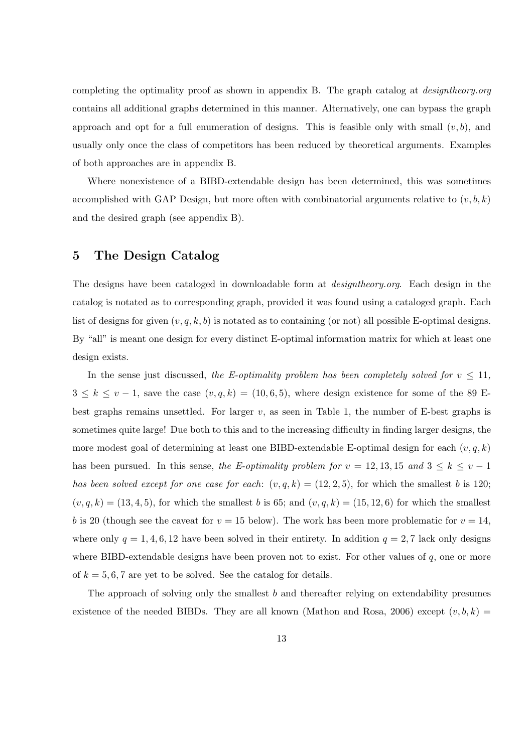completing the optimality proof as shown in appendix B. The graph catalog at designtheory.org contains all additional graphs determined in this manner. Alternatively, one can bypass the graph approach and opt for a full enumeration of designs. This is feasible only with small  $(v, b)$ , and usually only once the class of competitors has been reduced by theoretical arguments. Examples of both approaches are in appendix B.

Where nonexistence of a BIBD-extendable design has been determined, this was sometimes accomplished with GAP Design, but more often with combinatorial arguments relative to  $(v, b, k)$ and the desired graph (see appendix B).

### 5 The Design Catalog

The designs have been cataloged in downloadable form at *designtheory.org*. Each design in the catalog is notated as to corresponding graph, provided it was found using a cataloged graph. Each list of designs for given  $(v, q, k, b)$  is notated as to containing (or not) all possible E-optimal designs. By "all" is meant one design for every distinct E-optimal information matrix for which at least one design exists.

In the sense just discussed, the E-optimality problem has been completely solved for  $v \le 11$ ,  $3 \leq k \leq v-1$ , save the case  $(v, q, k) = (10, 6, 5)$ , where design existence for some of the 89 Ebest graphs remains unsettled. For larger  $v$ , as seen in Table 1, the number of E-best graphs is sometimes quite large! Due both to this and to the increasing difficulty in finding larger designs, the more modest goal of determining at least one BIBD-extendable E-optimal design for each  $(v, q, k)$ has been pursued. In this sense, the E-optimality problem for  $v = 12, 13, 15$  and  $3 \le k \le v - 1$ has been solved except for one case for each:  $(v, q, k) = (12, 2, 5)$ , for which the smallest b is 120;  $(v, q, k) = (13, 4, 5)$ , for which the smallest b is 65; and  $(v, q, k) = (15, 12, 6)$  for which the smallest b is 20 (though see the caveat for  $v = 15$  below). The work has been more problematic for  $v = 14$ , where only  $q = 1, 4, 6, 12$  have been solved in their entirety. In addition  $q = 2, 7$  lack only designs where BIBD-extendable designs have been proven not to exist. For other values of  $q$ , one or more of  $k = 5, 6, 7$  are yet to be solved. See the catalog for details.

The approach of solving only the smallest b and thereafter relying on extendability presumes existence of the needed BIBDs. They are all known (Mathon and Rosa, 2006) except  $(v, b, k)$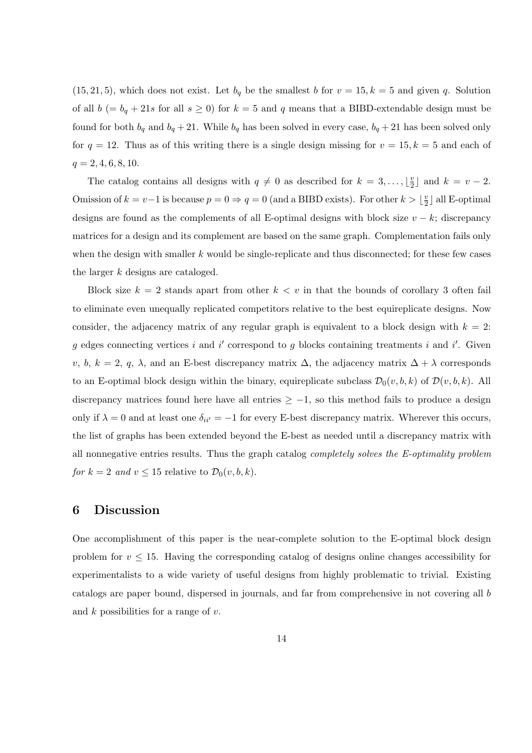$(15, 21, 5)$ , which does not exist. Let  $b_q$  be the smallest b for  $v = 15$ ,  $k = 5$  and given q. Solution of all  $b (= b_q + 21s$  for all  $s \ge 0$ ) for  $k = 5$  and q means that a BIBD-extendable design must be found for both  $b_q$  and  $b_q + 21$ . While  $b_q$  has been solved in every case,  $b_q + 21$  has been solved only for  $q = 12$ . Thus as of this writing there is a single design missing for  $v = 15$ ,  $k = 5$  and each of  $q = 2, 4, 6, 8, 10.$ 

The catalog contains all designs with  $q \neq 0$  as described for  $k = 3, \ldots, \lfloor \frac{n}{2} \rfloor$  $\frac{v}{2}$  and  $k = v - 2$ . Omission of  $k = v-1$  is because  $p = 0 \Rightarrow q = 0$  (and a BIBD exists). For other  $k > \frac{1}{2}$  $\frac{v}{2}$  all E-optimal designs are found as the complements of all E-optimal designs with block size  $v - k$ ; discrepancy matrices for a design and its complement are based on the same graph. Complementation fails only when the design with smaller  $k$  would be single-replicate and thus disconnected; for these few cases the larger k designs are cataloged.

Block size  $k = 2$  stands apart from other  $k < v$  in that the bounds of corollary 3 often fail to eliminate even unequally replicated competitors relative to the best equireplicate designs. Now consider, the adjacency matrix of any regular graph is equivalent to a block design with  $k = 2$ : g edges connecting vertices i and i' correspond to g blocks containing treatments i and i'. Given v, b, k = 2, q,  $\lambda$ , and an E-best discrepancy matrix  $\Delta$ , the adjacency matrix  $\Delta + \lambda$  corresponds to an E-optimal block design within the binary, equireplicate subclass  $\mathcal{D}_0(v, b, k)$  of  $\mathcal{D}(v, b, k)$ . All discrepancy matrices found here have all entries  $\geq -1$ , so this method fails to produce a design only if  $\lambda = 0$  and at least one  $\delta_{ii'} = -1$  for every E-best discrepancy matrix. Wherever this occurs, the list of graphs has been extended beyond the E-best as needed until a discrepancy matrix with all nonnegative entries results. Thus the graph catalog completely solves the E-optimality problem for  $k = 2$  and  $v \le 15$  relative to  $\mathcal{D}_0(v, b, k)$ .

#### 6 Discussion

One accomplishment of this paper is the near-complete solution to the E-optimal block design problem for  $v \leq 15$ . Having the corresponding catalog of designs online changes accessibility for experimentalists to a wide variety of useful designs from highly problematic to trivial. Existing catalogs are paper bound, dispersed in journals, and far from comprehensive in not covering all b and  $k$  possibilities for a range of  $v$ .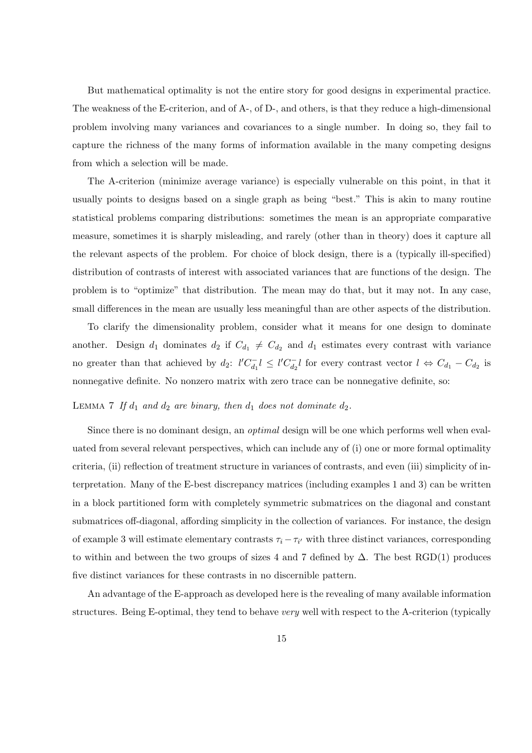But mathematical optimality is not the entire story for good designs in experimental practice. The weakness of the E-criterion, and of A-, of D-, and others, is that they reduce a high-dimensional problem involving many variances and covariances to a single number. In doing so, they fail to capture the richness of the many forms of information available in the many competing designs from which a selection will be made.

The A-criterion (minimize average variance) is especially vulnerable on this point, in that it usually points to designs based on a single graph as being "best." This is akin to many routine statistical problems comparing distributions: sometimes the mean is an appropriate comparative measure, sometimes it is sharply misleading, and rarely (other than in theory) does it capture all the relevant aspects of the problem. For choice of block design, there is a (typically ill-specified) distribution of contrasts of interest with associated variances that are functions of the design. The problem is to "optimize" that distribution. The mean may do that, but it may not. In any case, small differences in the mean are usually less meaningful than are other aspects of the distribution.

To clarify the dimensionality problem, consider what it means for one design to dominate another. Design  $d_1$  dominates  $d_2$  if  $C_{d_1} \neq C_{d_2}$  and  $d_1$  estimates every contrast with variance no greater than that achieved by  $d_2$ :  $l'C_{d_1}^{-1}l \leq l'C_{d_2}^{-1}l$  for every contrast vector  $l \Leftrightarrow C_{d_1} - C_{d_2}$  is nonnegative definite. No nonzero matrix with zero trace can be nonnegative definite, so:

### LEMMA 7 If  $d_1$  and  $d_2$  are binary, then  $d_1$  does not dominate  $d_2$ .

Since there is no dominant design, an *optimal* design will be one which performs well when evaluated from several relevant perspectives, which can include any of (i) one or more formal optimality criteria, (ii) reflection of treatment structure in variances of contrasts, and even (iii) simplicity of interpretation. Many of the E-best discrepancy matrices (including examples 1 and 3) can be written in a block partitioned form with completely symmetric submatrices on the diagonal and constant submatrices off-diagonal, affording simplicity in the collection of variances. For instance, the design of example 3 will estimate elementary contrasts  $\tau_i - \tau_{i'}$  with three distinct variances, corresponding to within and between the two groups of sizes 4 and 7 defined by  $\Delta$ . The best RGD(1) produces five distinct variances for these contrasts in no discernible pattern.

An advantage of the E-approach as developed here is the revealing of many available information structures. Being E-optimal, they tend to behave very well with respect to the A-criterion (typically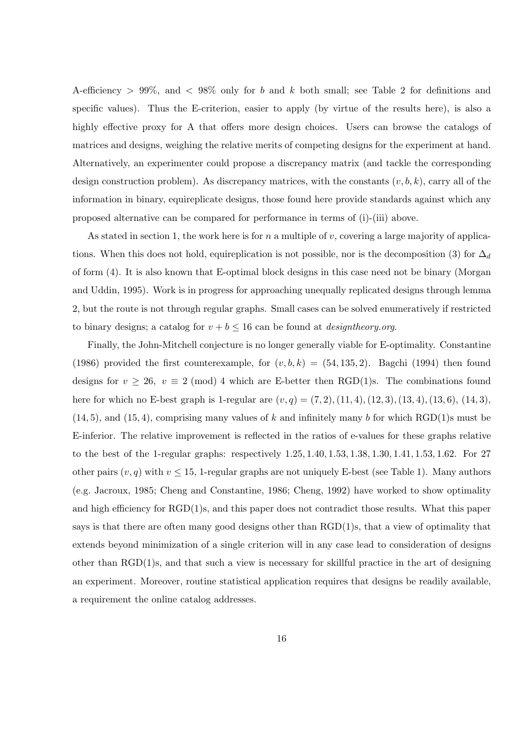A-efficiency > 99%, and < 98% only for b and k both small; see Table 2 for definitions and specific values). Thus the E-criterion, easier to apply (by virtue of the results here), is also a highly effective proxy for A that offers more design choices. Users can browse the catalogs of matrices and designs, weighing the relative merits of competing designs for the experiment at hand. Alternatively, an experimenter could propose a discrepancy matrix (and tackle the corresponding design construction problem). As discrepancy matrices, with the constants  $(v, b, k)$ , carry all of the information in binary, equireplicate designs, those found here provide standards against which any proposed alternative can be compared for performance in terms of (i)-(iii) above.

As stated in section 1, the work here is for n a multiple of v, covering a large majority of applications. When this does not hold, equireplication is not possible, nor is the decomposition (3) for  $\Delta_d$ of form (4). It is also known that E-optimal block designs in this case need not be binary (Morgan and Uddin, 1995). Work is in progress for approaching unequally replicated designs through lemma 2, but the route is not through regular graphs. Small cases can be solved enumeratively if restricted to binary designs; a catalog for  $v + b \le 16$  can be found at *designiheory.org.* 

Finally, the John-Mitchell conjecture is no longer generally viable for E-optimality. Constantine (1986) provided the first counterexample, for  $(v, b, k) = (54, 135, 2)$ . Bagchi (1994) then found designs for  $v \ge 26$ ,  $v \equiv 2 \pmod{4}$  which are E-better then RGD(1)s. The combinations found here for which no E-best graph is 1-regular are  $(v, q) = (7, 2), (11, 4), (12, 3), (13, 4), (13, 6), (14, 3),$  $(14, 5)$ , and  $(15, 4)$ , comprising many values of k and infinitely many b for which RGD(1)s must be E-inferior. The relative improvement is reflected in the ratios of e-values for these graphs relative to the best of the 1-regular graphs: respectively 1.25, 1.40, 1.53, 1.38, 1.30, 1.41, 1.53, 1.62. For 27 other pairs  $(v, q)$  with  $v \le 15$ , 1-regular graphs are not uniquely E-best (see Table 1). Many authors (e.g. Jacroux, 1985; Cheng and Constantine, 1986; Cheng, 1992) have worked to show optimality and high efficiency for RGD(1)s, and this paper does not contradict those results. What this paper says is that there are often many good designs other than  $\text{RGD}(1)$ s, that a view of optimality that extends beyond minimization of a single criterion will in any case lead to consideration of designs other than RGD(1)s, and that such a view is necessary for skillful practice in the art of designing an experiment. Moreover, routine statistical application requires that designs be readily available, a requirement the online catalog addresses.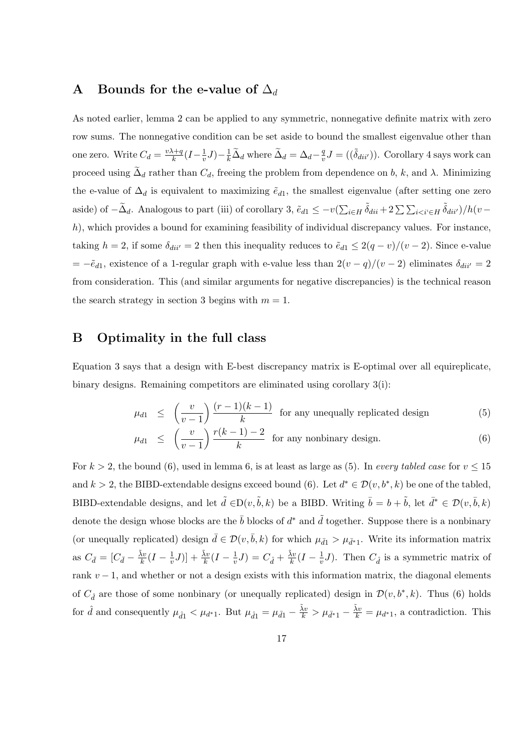#### A Bounds for the e-value of  $\Delta_d$

As noted earlier, lemma 2 can be applied to any symmetric, nonnegative definite matrix with zero row sums. The nonnegative condition can be set aside to bound the smallest eigenvalue other than one zero. Write  $C_d = \frac{v\lambda + q}{k}$  $\frac{k+q}{k}(I-\frac{1}{v})$  $(\frac{1}{v}J)-\frac{1}{k}\widetilde{\Delta}_d$  where  $\widetilde{\Delta}_d=\Delta_d-\frac{q}{v}$  $\frac{q}{v}J = ((\tilde{\delta}_{dii'}))$ . Corollary 4 says work can proceed using  $\tilde{\Delta}_d$  rather than  $C_d$ , freeing the problem from dependence on b, k, and  $\lambda$ . Minimizing the e-value of  $\Delta_d$  is equivalent to maximizing  $\tilde{e}_{d1}$ , the smallest eigenvalue (after setting one zero aside) of  $-\tilde{\Delta}_d$ . Analogous to part (iii) of corollary 3,  $\tilde{e}_{d1} \le -v(\sum)$  $\sum_{i\in H} \tilde{\delta}_{dii} + 2 \sum \sum_{i\leq i\leq H} \tilde{\delta}_{dii'})/h(v$ h), which provides a bound for examining feasibility of individual discrepancy values. For instance, taking  $h = 2$ , if some  $\delta_{di} = 2$  then this inequality reduces to  $\tilde{e}_{d1} \leq 2(q - v)/(v - 2)$ . Since e-value  $= -\tilde{e}_{d1}$ , existence of a 1-regular graph with e-value less than  $2(v - q)/(v - 2)$  eliminates  $\delta_{di} = 2$ from consideration. This (and similar arguments for negative discrepancies) is the technical reason the search strategy in section 3 begins with  $m = 1$ .

## B Optimality in the full class

Equation 3 says that a design with E-best discrepancy matrix is E-optimal over all equireplicate, binary designs. Remaining competitors are eliminated using corollary 3(i):

$$
\mu_{d1} \le \left(\frac{v}{v-1}\right) \frac{(r-1)(k-1)}{k} \text{ for any unequally replicated design} \tag{5}
$$

$$
\mu_{d1} \leq \left(\frac{v}{v-1}\right) \frac{r(k-1)-2}{k} \text{ for any nonbinary design.}
$$
\n(6)

For  $k > 2$ , the bound (6), used in lemma 6, is at least as large as (5). In every tabled case for  $v \le 15$ and  $k > 2$ , the BIBD-extendable designs exceed bound (6). Let  $d^* \in \mathcal{D}(v, b^*, k)$  be one of the tabled, BIBD-extendable designs, and let  $\tilde{d} \in D(v, \tilde{b}, k)$  be a BIBD. Writing  $\bar{b} = b + \tilde{b}$ , let  $\bar{d}^* \in \mathcal{D}(v, \bar{b}, k)$ denote the design whose blocks are the  $\bar{b}$  blocks of  $d^*$  and  $\tilde{d}$  together. Suppose there is a nonbinary (or unequally replicated) design  $\bar{d} \in \mathcal{D}(v, \bar{b}, k)$  for which  $\mu_{\bar{d}1} > \mu_{\bar{d}^*1}$ . Write its information matrix as  $C_{\bar{d}} = [C_{\bar{d}} - \frac{\tilde{\lambda}v}{k}]$  $\frac{\lambda v}{k} (I - \frac{1}{v})$  $(\frac{1}{v}J)] + \frac{\tilde{\lambda}v}{k}(I - \frac{1}{v})$  $(v^{\frac{1}{v}}J) = C_{\hat{d}} + \frac{\tilde{\lambda}v}{k}$  $\frac{\lambda v}{k} (I - \frac{1}{v})$  $\frac{1}{v}J$ ). Then  $C_{\hat{d}}$  is a symmetric matrix of rank  $v - 1$ , and whether or not a design exists with this information matrix, the diagonal elements of  $C_{\hat{d}}$  are those of some nonbinary (or unequally replicated) design in  $\mathcal{D}(v, b^*, k)$ . Thus (6) holds for  $\hat{d}$  and consequently  $\mu_{\hat{d}1} < \mu_{d^*1}$ . But  $\mu_{\hat{d}1} = \mu_{\bar{d}1} - \frac{\tilde{\lambda}v}{k} > \mu_{\bar{d}^*1} - \frac{\tilde{\lambda}v}{k} = \mu_{d^*1}$ , a contradiction. This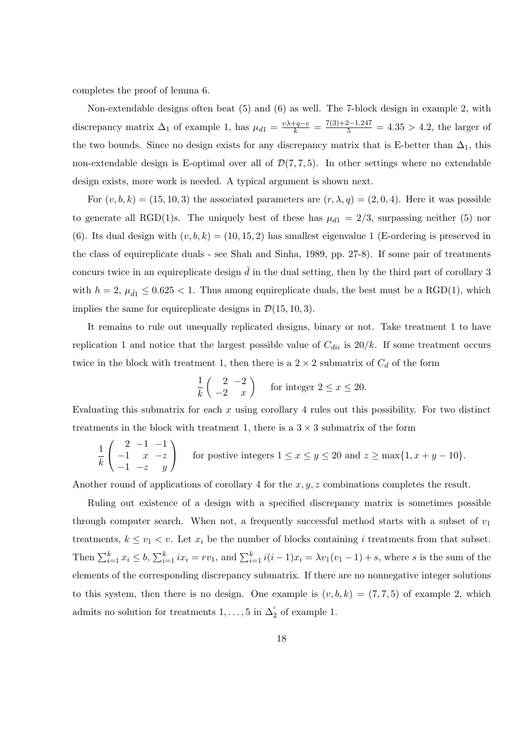completes the proof of lemma 6.

Non-extendable designs often beat (5) and (6) as well. The 7-block design in example 2, with discrepancy matrix  $\Delta_1$  of example 1, has  $\mu_{d1} = \frac{v\lambda + q - e}{k} = \frac{7(3) + 2 - 1.247}{5} = 4.35 > 4.2$ , the larger of the two bounds. Since no design exists for any discrepancy matrix that is E-better than  $\Delta_1$ , this non-extendable design is E-optimal over all of  $\mathcal{D}(7, 7, 5)$ . In other settings where no extendable design exists, more work is needed. A typical argument is shown next.

For  $(v, b, k) = (15, 10, 3)$  the associated parameters are  $(r, \lambda, q) = (2, 0, 4)$ . Here it was possible to generate all RGD(1)s. The uniquely best of these has  $\mu_{d1} = 2/3$ , surpassing neither (5) nor (6). Its dual design with  $(v, b, k) = (10, 15, 2)$  has smallest eigenvalue 1 (E-ordering is preserved in the class of equireplicate duals - see Shah and Sinha, 1989, pp. 27-8). If some pair of treatments concurs twice in an equireplicate design  $\bar{d}$  in the dual setting, then by the third part of corollary 3 with  $h = 2$ ,  $\mu_{d1} \leq 0.625 < 1$ . Thus among equireplicate duals, the best must be a RGD(1), which implies the same for equireplicate designs in  $\mathcal{D}(15, 10, 3)$ .

It remains to rule out unequally replicated designs, binary or not. Take treatment 1 to have replication 1 and notice that the largest possible value of  $C_{dii}$  is  $20/k$ . If some treatment occurs twice in the block with treatment 1, then there is a  $2 \times 2$  submatrix of  $C_d$  of the form

$$
\frac{1}{k} \begin{pmatrix} 2 & -2 \\ -2 & x \end{pmatrix}
$$
 for integer  $2 \le x \le 20$ .

Evaluating this submatrix for each  $x$  using corollary 4 rules out this possibility. For two distinct treatments in the block with treatment 1, there is a  $3 \times 3$  submatrix of the form

$$
\frac{1}{k} \begin{pmatrix} 2 & -1 & -1 \\ -1 & x & -z \\ -1 & -z & y \end{pmatrix}
$$
 for positive integers  $1 \le x \le y \le 20$  and  $z \ge \max\{1, x+y-10\}$ .

Another round of applications of corollary 4 for the  $x, y, z$  combinations completes the result.

Ruling out existence of a design with a specified discrepancy matrix is sometimes possible through computer search. When not, a frequently successful method starts with a subset of  $v_1$ treatments,  $k \le v_1 < v$ . Let  $x_i$  be the number of blocks containing i treatments from that subset. Then  $\sum_{i=1}^k x_i \leq b$ ,  $\sum_{i=1}^k ix_i = rv_1$ , and  $\sum_{i=1}^k i(i-1)x_i = \lambda v_1(v_1-1) + s$ , where s is the sum of the elements of the corresponding discrepancy submatrix. If there are no nonnegative integer solutions to this system, then there is no design. One example is  $(v, b, k) = (7, 7, 5)$  of example 2, which admits no solution for treatments  $1, \ldots, 5$  in  $\Delta_2^c$  of example 1.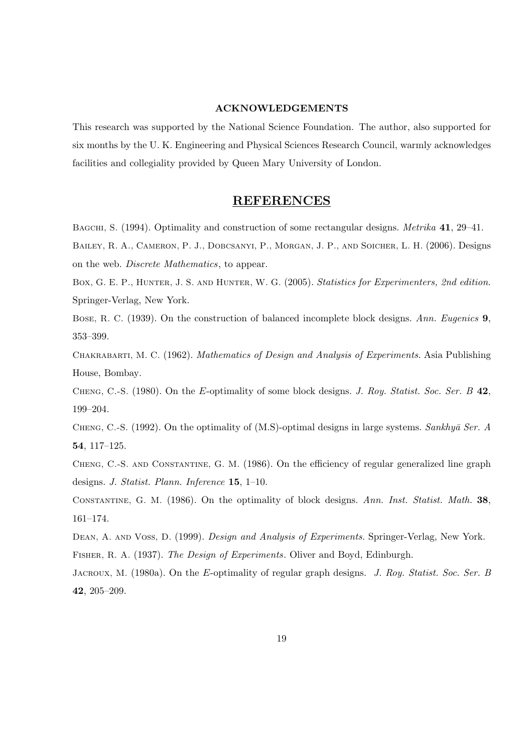#### ACKNOWLEDGEMENTS

This research was supported by the National Science Foundation. The author, also supported for six months by the U. K. Engineering and Physical Sciences Research Council, warmly acknowledges facilities and collegiality provided by Queen Mary University of London.

#### REFERENCES

BAGCHI, S. (1994). Optimality and construction of some rectangular designs. Metrika 41, 29–41.

Bailey, R. A., Cameron, P. J., Dobcsanyi, P., Morgan, J. P., and Soicher, L. H. (2006). Designs on the web. Discrete Mathematics, to appear.

Box, G. E. P., HUNTER, J. S. AND HUNTER, W. G. (2005). Statistics for Experimenters, 2nd edition. Springer-Verlag, New York.

Bose, R. C. (1939). On the construction of balanced incomplete block designs. Ann. Eugenics 9, 353–399.

Chakrabarti, M. C. (1962). Mathematics of Design and Analysis of Experiments. Asia Publishing House, Bombay.

CHENG, C.-S. (1980). On the E-optimality of some block designs. J. Roy. Statist. Soc. Ser. B 42, 199–204.

CHENG, C.-S. (1992). On the optimality of  $(M.S)$ -optimal designs in large systems. Sankhy $\bar{a}$  Ser. A 54, 117–125.

Cheng, C.-S. and Constantine, G. M. (1986). On the efficiency of regular generalized line graph designs. J. Statist. Plann. Inference 15, 1–10.

Constantine, G. M. (1986). On the optimality of block designs. Ann. Inst. Statist. Math. 38, 161–174.

DEAN, A. AND VOSS, D. (1999). *Design and Analysis of Experiments*. Springer-Verlag, New York. Fisher, R. A. (1937). The Design of Experiments. Oliver and Boyd, Edinburgh.

JACROUX, M. (1980a). On the E-optimality of regular graph designs. J. Roy. Statist. Soc. Ser. B 42, 205–209.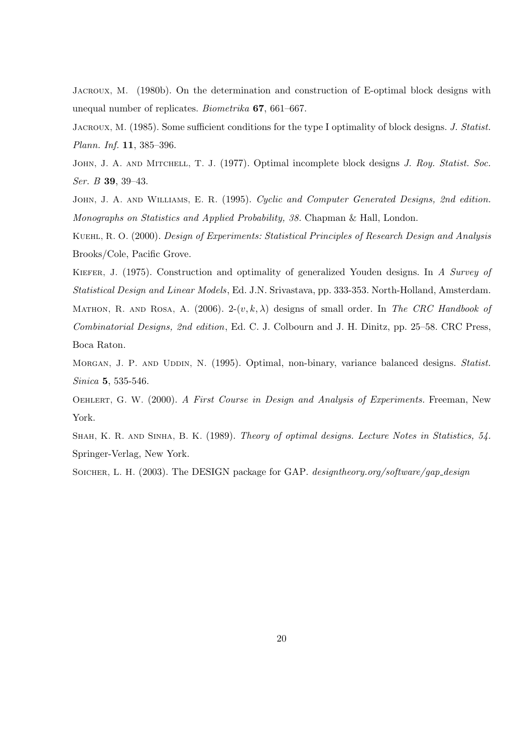Jacroux, M. (1980b). On the determination and construction of E-optimal block designs with unequal number of replicates. Biometrika 67, 661–667.

JACROUX, M. (1985). Some sufficient conditions for the type I optimality of block designs. J. Statist. Plann. Inf. 11, 385–396.

JOHN, J. A. AND MITCHELL, T. J. (1977). Optimal incomplete block designs J. Roy. Statist. Soc. Ser. B 39, 39–43.

JOHN, J. A. AND WILLIAMS, E. R. (1995). Cyclic and Computer Generated Designs, 2nd edition. Monographs on Statistics and Applied Probability, 38. Chapman & Hall, London.

Kuehl, R. O. (2000). Design of Experiments: Statistical Principles of Research Design and Analysis Brooks/Cole, Pacific Grove.

KIEFER, J. (1975). Construction and optimality of generalized Youden designs. In A Survey of Statistical Design and Linear Models, Ed. J.N. Srivastava, pp. 333-353. North-Holland, Amsterdam. MATHON, R. AND ROSA, A. (2006). 2- $(v, k, \lambda)$  designs of small order. In The CRC Handbook of Combinatorial Designs, 2nd edition, Ed. C. J. Colbourn and J. H. Dinitz, pp. 25–58. CRC Press, Boca Raton.

Morgan, J. P. AND UDDIN, N. (1995). Optimal, non-binary, variance balanced designs. Statist. Sinica 5, 535-546.

OEHLERT, G. W. (2000). A First Course in Design and Analysis of Experiments. Freeman, New York.

Shah, K. R. and Sinha, B. K. (1989). Theory of optimal designs. Lecture Notes in Statistics, 54. Springer-Verlag, New York.

SOICHER, L. H. (2003). The DESIGN package for GAP. *designtheory.org/software/gap\_design*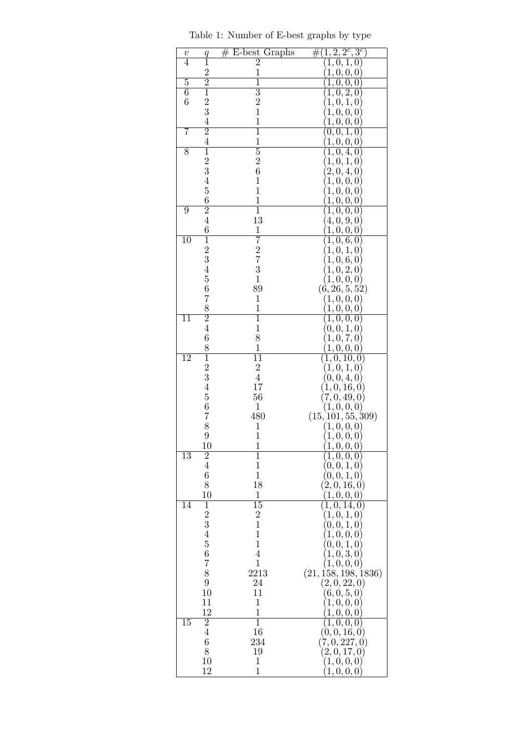| $\boldsymbol{v}$ | q               | $#$ E-best Graphs                          | $(1, 2, 2^c, 3^c)$<br>#( |
|------------------|-----------------|--------------------------------------------|--------------------------|
| 4                | $\overline{1}$  | $\overline{2}$                             | (1,0,1,0)                |
|                  | $\overline{2}$  | $\mathbf{1}$                               | 1, 0, 0, 0               |
| $\overline{5}$   | $\overline{2}$  | $\overline{1}$                             | $\overline{1,0,0,0}$     |
| $\overline{6}$   | $\overline{1}$  | $\overline{3}$                             | (1,0,2,0)                |
| $\boldsymbol{6}$ | $\frac{2}{3}$   | $\frac{2}{1}$                              | 1, 0, 1, 0               |
|                  |                 |                                            | $1,0,0,0$                |
|                  | $\overline{4}$  | $\mathbf{1}$                               | 1, 0, 0, 0               |
| 7                | $\overline{2}$  | $\overline{1}$                             | [0,0,1,0)                |
|                  | $\overline{4}$  | $\mathbf{1}$                               | 1, 0, 0, 0               |
| 8                | $\overline{1}$  | $\overline{5}$                             | 1, 0, 4, 0               |
|                  |                 | $\overline{2}$                             | 1, 0, 1, 0               |
|                  | $\frac{2}{3}$   | 6                                          | 2,0,4,0                  |
|                  | $\overline{4}$  | $\mathbf{1}$                               | 1, 0, 0, 0               |
|                  | $\overline{5}$  | $\mathbf{1}$                               | (1,0,0,0)                |
|                  | 6               | $\mathbf{1}$                               | 1, 0, 0, 0               |
| $\overline{9}$   | $\overline{2}$  | $\overline{1}$                             | 1, 0, 0, 0)              |
|                  | $\overline{4}$  | 13                                         | (4, 0, 9, 0)             |
|                  | 6               |                                            |                          |
|                  |                 | $\mathbf{1}$                               | 1, 0, 0, 0               |
| 10               | $\overline{1}$  | 7                                          | 1, 0, 6, 0               |
|                  | $\frac{2}{3}$   |                                            | $\left(1,0,1,0\right)$   |
|                  |                 | $\begin{array}{c} 2 \\ 7 \\ 3 \end{array}$ | 1, 0, 6, 0               |
|                  | $\overline{4}$  |                                            | 1, 0, 2, 0               |
|                  | $\overline{5}$  | $\mathbf{1}$                               | (1,0,0,0)                |
|                  | 6               | 89                                         | (6, 26, 5, 52)           |
|                  | 7               | $\mathbf{1}$                               | (1,0,0,0)                |
|                  | 8               | $\mathbf{1}$                               | [1, 0, 0, 0]             |
| $\overline{11}$  | $\overline{2}$  | $\overline{1}$                             | (1,0,0,0)                |
|                  | $\overline{4}$  | $\mathbf 1$                                | (0, 0, 1, 0)             |
|                  | 6               | 8                                          | (1, 0, 7, 0)             |
|                  | 8               | $\overline{1}$                             | [1, 0, 0, 0]             |
| $\overline{12}$  | $\overline{1}$  | $\overline{11}$                            | (1,0,10,0)               |
|                  | $\frac{2}{3}$   | $\overline{c}$                             | $(\dot{1},0,1,0)$        |
|                  |                 | $\overline{4}$                             | (0,0,4,0)                |
|                  | $\overline{4}$  | 17                                         | 1, 0, 16, 0)             |
|                  | $\overline{5}$  | 56                                         | (7,0,49,0)               |
|                  | 6               | $\mathbf{1}$                               | (1,0,0,0)                |
|                  | 7               | 480                                        | (15, 101, 55, 309)       |
|                  | 8               | $\mathbf{1}$                               | (1,0,0,0)                |
|                  | 9               | $\mathbf{1}$                               | 1, 0, 0, 0)              |
|                  | $10\,$          | 1                                          | $\left(1,0,0,0\right)$   |
| $\overline{13}$  | $\overline{2}$  | $\overline{1}$                             | (1,0,0,0)                |
|                  | $\overline{4}$  | $\mathbf{1}$                               | (0,0,1,0)                |
|                  | 6               | $\mathbf{1}$                               | (0,0,1,0)                |
|                  | 8               | 18                                         | (2,0,16,0)               |
|                  | 10              | 1                                          | (1,0,0,0)                |
| 14               | 1               | 15                                         | 1, 0, 14, 0)             |
|                  |                 | $\overline{\mathbf{c}}$                    | (1,0,1,0)                |
|                  | $\frac{2}{3}$   | $\mathbf{1}$                               | $\left(0,0,1,0\right)$   |
|                  | $\overline{4}$  | $\mathbf{1}$                               | (1,0,0,0)                |
|                  | $\overline{5}$  | $\mathbf{1}$                               | $\left(0,0,1,0\right)$   |
|                  | 6               | $\overline{4}$                             | (1,0,3,0)                |
|                  | $\overline{7}$  | $\mathbf 1$                                | (1,0,0,0)                |
|                  | 8               | 2213                                       | (21, 158, 198, 1836)     |
|                  | $9\phantom{.0}$ | 24                                         | (2,0,22,0)               |
|                  | 10              | 11                                         | (6,0,5,0)                |
|                  | 11              | $\mathbf 1$                                | [1, 0, 0, 0]             |
|                  | 12              | 1                                          |                          |
|                  |                 |                                            | [1, 0, 0, 0]             |
| 15               | $\overline{2}$  | 1                                          | (1,0,0,0)                |
|                  | $\sqrt{4}$      | 16                                         | (0,0,16,0)               |
|                  | $\,6$           | 234                                        | $(\mathbf{7},0,227,0)$   |
|                  | 8               | 19                                         | (2,0,17,0)               |
|                  | 10              | $\mathbf 1$                                | (1,0,0,0)                |
|                  | 12              | $\mathbf{1}$                               | (1,0,0,0)                |

Table 1: Number of E-best graphs by type